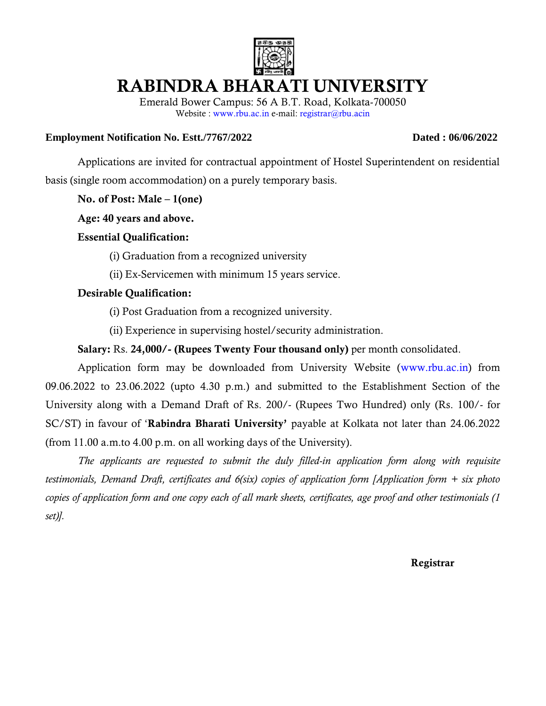

# **RABINDRA BHARATI UNIVERSITY**

Emerald Bower Campus: 56 A B.T. Road, Kolkata-700050 Website : www.rbu.ac.in e-mail: registrar@rbu.acin

#### **Employment Notification No. Estt./7767/2022 Dated : 06/06/2022**

Applications are invited for contractual appointment of Hostel Superintendent on residential basis (single room accommodation) on a purely temporary basis.

**No. of Post: Male – 1(one)**

**Age: 40 years and above.**

### **Essential Qualification:**

- (i) Graduation from a recognized university
- (ii) Ex-Servicemen with minimum 15 years service.

### **Desirable Qualification:**

- (i) Post Graduation from a recognized university.
- (ii) Experience in supervising hostel/security administration.

### **Salary:** Rs. **24,000/- (Rupees Twenty Four thousand only)** per month consolidated.

Application form may be downloaded from University Website (www.rbu.ac.in) from 09.06.2022 to 23.06.2022 (upto 4.30 p.m.) and submitted to the Establishment Section of the University along with a Demand Draft of Rs. 200/- (Rupees Two Hundred) only (Rs. 100/- for SC/ST) in favour of '**Rabindra Bharati University'** payable at Kolkata not later than 24.06.2022 (from 11.00 a.m.to 4.00 p.m. on all working days of the University).

*The applicants are requested to submit the duly filled-in application form along with requisite testimonials, Demand Draft, certificates and 6(six) copies of application form [Application form + six photo copies of application form and one copy each of all mark sheets, certificates, age proof and other testimonials (1 set)].*

#### **Registrar**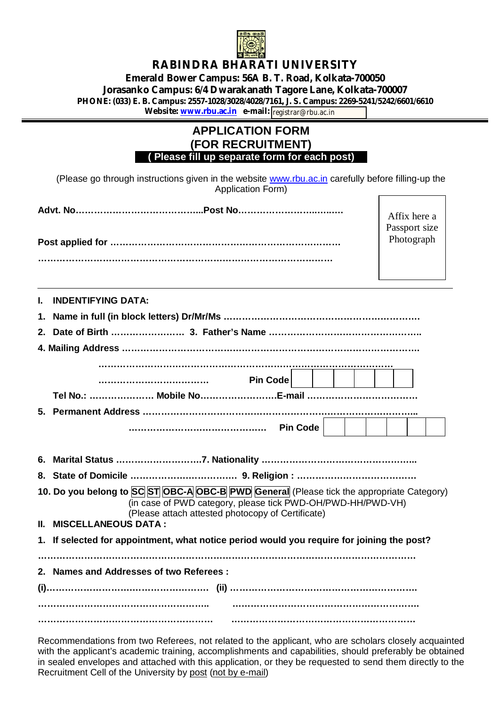

# **RABINDRA BHARATI UNIVERSITY Emerald Bower Campus: 56A B. T. Road, Kolkata-700050 Jorasanko Campus: 6/4 Dwarakanath Tagore Lane, Kolkata-700007 PHONE: (033) E. B. Campus: 2557-1028/3028/4028/7161, J. S. Campus: 2269-5241/5242/6601/6610**

**Website: <u>[www.rbu.ac.in](http://www.rbu.ac.in)</u> e-mail: |registrar@rbu.ac.in** 

## **APPLICATION FORM (FOR RECRUITMENT) ….( Please fill up separate form for each post)….**

(Please go through instructions given in the website [www.rbu.ac.in](http://www.rbu.ac.in) carefully before filling-up the Application Form) Г

| Advt. No……………………………………Post No……………………………… |     |
|-------------------------------------------|-----|
|                                           | Pas |
|                                           | Ph  |
|                                           |     |
|                                           |     |
|                                           |     |

fix here a sport size otograph

**I. INDENTIFYING DATA:**

|                                                                                                                                                                                                               | Pin Code                                                                                   |  |  |  |  |
|---------------------------------------------------------------------------------------------------------------------------------------------------------------------------------------------------------------|--------------------------------------------------------------------------------------------|--|--|--|--|
|                                                                                                                                                                                                               |                                                                                            |  |  |  |  |
|                                                                                                                                                                                                               |                                                                                            |  |  |  |  |
|                                                                                                                                                                                                               |                                                                                            |  |  |  |  |
|                                                                                                                                                                                                               |                                                                                            |  |  |  |  |
|                                                                                                                                                                                                               |                                                                                            |  |  |  |  |
|                                                                                                                                                                                                               |                                                                                            |  |  |  |  |
| 10. Do you belong to SC ST OBC-A OBC-B PWD General (Please tick the appropriate Category)<br>(in case of PWD category, please tick PWD-OH/PWD-HH/PWD-VH)<br>(Please attach attested photocopy of Certificate) |                                                                                            |  |  |  |  |
|                                                                                                                                                                                                               | II. MISCELLANEOUS DATA :                                                                   |  |  |  |  |
|                                                                                                                                                                                                               | 1. If selected for appointment, what notice period would you require for joining the post? |  |  |  |  |
|                                                                                                                                                                                                               |                                                                                            |  |  |  |  |
|                                                                                                                                                                                                               | 2. Names and Addresses of two Referees:                                                    |  |  |  |  |
|                                                                                                                                                                                                               |                                                                                            |  |  |  |  |
|                                                                                                                                                                                                               |                                                                                            |  |  |  |  |
|                                                                                                                                                                                                               |                                                                                            |  |  |  |  |

Recommendations from two Referees, not related to the applicant, who are scholars closely acquainted with the applicant's academic training, accomplishments and capabilities, should preferably be obtained in sealed envelopes and attached with this application, or they be requested to send them directly to the Recruitment Cell of the University by post (not by e-mail)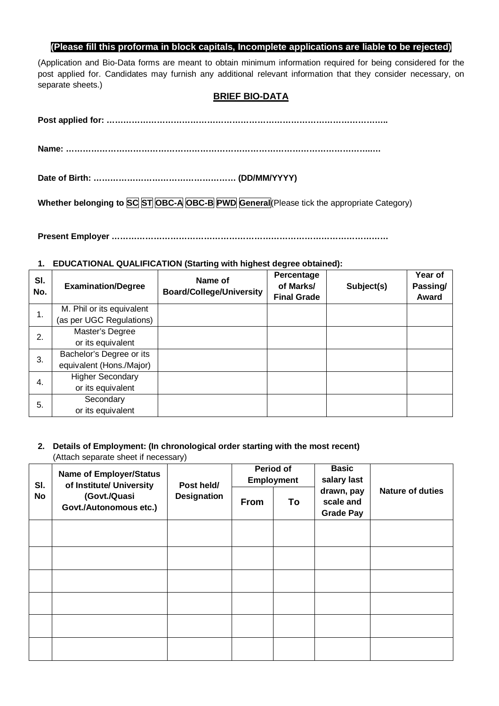#### **(Please fill this proforma in block capitals, Incomplete applications are liable to be rejected)**

(Application and Bio-Data forms are meant to obtain minimum information required for being considered for the post applied for. Candidates may furnish any additional relevant information that they consider necessary, on separate sheets.)

#### **BRIEF BIO-DATA**

**Whether belonging to SC ST OBC-A OBC-B PWD General**(Please tick the appropriate Category)

**Present Employer ………………………………………………………………………………………** 

#### **1. EDUCATIONAL QUALIFICATION (Starting with highest degree obtained):**

| SI.<br>No. | <b>Examination/Degree</b> | Name of<br><b>Board/College/University</b> | Percentage<br>of Marks/<br><b>Final Grade</b> | Subject(s) | Year of<br>Passing/<br>Award |
|------------|---------------------------|--------------------------------------------|-----------------------------------------------|------------|------------------------------|
| 1.         | M. Phil or its equivalent |                                            |                                               |            |                              |
|            | (as per UGC Regulations)  |                                            |                                               |            |                              |
| 2.         | Master's Degree           |                                            |                                               |            |                              |
|            | or its equivalent         |                                            |                                               |            |                              |
| 3.         | Bachelor's Degree or its  |                                            |                                               |            |                              |
|            | equivalent (Hons./Major)  |                                            |                                               |            |                              |
| 4.         | <b>Higher Secondary</b>   |                                            |                                               |            |                              |
|            | or its equivalent         |                                            |                                               |            |                              |
| 5.         | Secondary                 |                                            |                                               |            |                              |
|            | or its equivalent         |                                            |                                               |            |                              |

### **2. Details of Employment: (In chronological order starting with the most recent)**

(Attach separate sheet if necessary)

| SI.<br>No | <b>Name of Employer/Status</b><br>of Institute/ University<br>(Govt./Quasi<br>Govt./Autonomous etc.) | Post held/<br><b>Designation</b> | <b>Period of</b><br><b>Employment</b> |    | <b>Basic</b><br>salary last                 |                         |
|-----------|------------------------------------------------------------------------------------------------------|----------------------------------|---------------------------------------|----|---------------------------------------------|-------------------------|
|           |                                                                                                      |                                  | From                                  | To | drawn, pay<br>scale and<br><b>Grade Pay</b> | <b>Nature of duties</b> |
|           |                                                                                                      |                                  |                                       |    |                                             |                         |
|           |                                                                                                      |                                  |                                       |    |                                             |                         |
|           |                                                                                                      |                                  |                                       |    |                                             |                         |
|           |                                                                                                      |                                  |                                       |    |                                             |                         |
|           |                                                                                                      |                                  |                                       |    |                                             |                         |
|           |                                                                                                      |                                  |                                       |    |                                             |                         |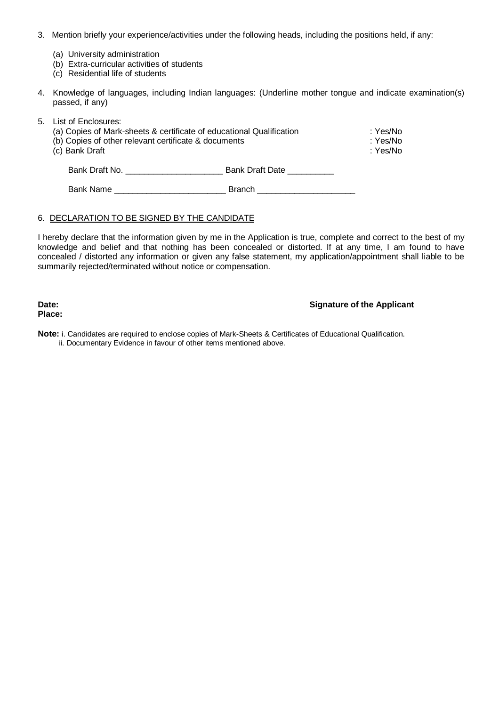- 3. Mention briefly your experience/activities under the following heads, including the positions held, if any:
	- (a) University administration
	- (b) Extra-curricular activities of students
	- (c) Residential life of students
- 4. Knowledge of languages, including Indian languages: (Underline mother tongue and indicate examination(s) passed, if any)

| 5. List of Enclosures:<br>(a) Copies of Mark-sheets & certificate of educational Qualification<br>(b) Copies of other relevant certificate & documents<br>(c) Bank Draft | :Yes/No<br>:Yes/No<br>:Yes/No |  |
|--------------------------------------------------------------------------------------------------------------------------------------------------------------------------|-------------------------------|--|
| Bank Draft No.                                                                                                                                                           | Bank Draft Date               |  |
| Bank Name                                                                                                                                                                | <b>Branch</b>                 |  |

#### 6. DECLARATION TO BE SIGNED BY THE CANDIDATE

I hereby declare that the information given by me in the Application is true, complete and correct to the best of my knowledge and belief and that nothing has been concealed or distorted. If at any time, I am found to have concealed / distorted any information or given any false statement, my application/appointment shall liable to be summarily rejected/terminated without notice or compensation.

**Place:**

#### **Date:** Signature of the Applicant

**Note:** i. Candidates are required to enclose copies of Mark-Sheets & Certificates of Educational Qualification. ii. Documentary Evidence in favour of other items mentioned above.